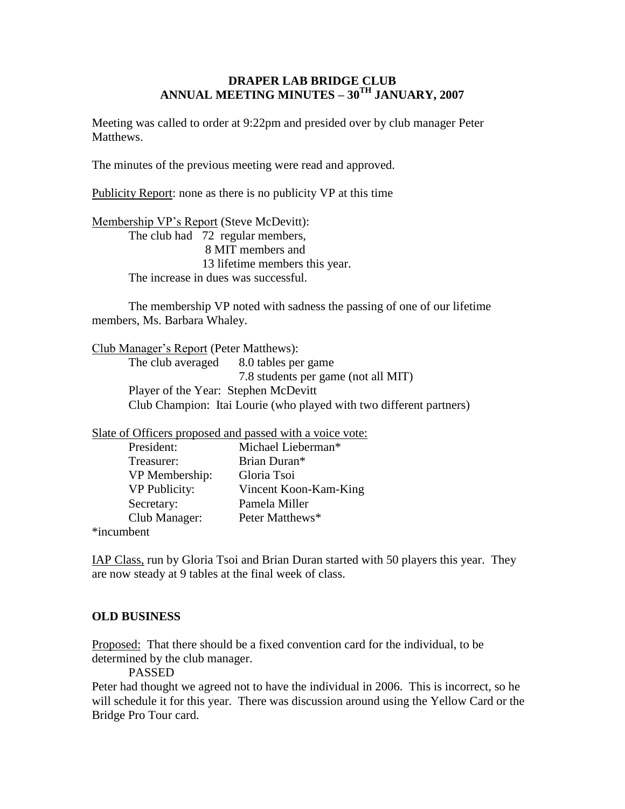## **DRAPER LAB BRIDGE CLUB ANNUAL MEETING MINUTES – 30TH JANUARY, 2007**

Meeting was called to order at 9:22pm and presided over by club manager Peter Matthews.

The minutes of the previous meeting were read and approved.

Publicity Report: none as there is no publicity VP at this time

Membership VP's Report (Steve McDevitt): The club had 72 regular members, 8 MIT members and 13 lifetime members this year. The increase in dues was successful.

The membership VP noted with sadness the passing of one of our lifetime members, Ms. Barbara Whaley.

Club Manager's Report (Peter Matthews):

The club averaged 8.0 tables per game 7.8 students per game (not all MIT) Player of the Year: Stephen McDevitt Club Champion: Itai Lourie (who played with two different partners)

Slate of Officers proposed and passed with a voice vote:

| President:           | Michael Lieberman*    |
|----------------------|-----------------------|
| Treasurer:           | Brian Duran*          |
| VP Membership:       | Gloria Tsoi           |
| <b>VP</b> Publicity: | Vincent Koon-Kam-King |
| Secretary:           | Pamela Miller         |
| Club Manager:        | Peter Matthews*       |
| in aumbont           |                       |

\*incumbent

IAP Class, run by Gloria Tsoi and Brian Duran started with 50 players this year. They are now steady at 9 tables at the final week of class.

## **OLD BUSINESS**

Proposed: That there should be a fixed convention card for the individual, to be determined by the club manager.

PASSED

Peter had thought we agreed not to have the individual in 2006. This is incorrect, so he will schedule it for this year. There was discussion around using the Yellow Card or the Bridge Pro Tour card.